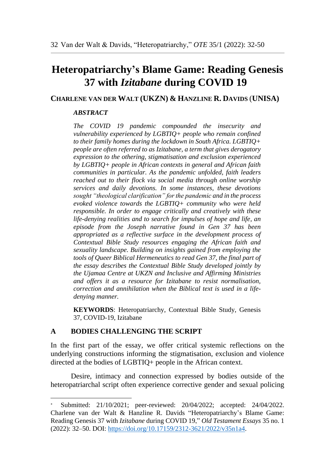# **Heteropatriarchy's Blame Game: Reading Genesis 37 with** *Izitabane* **during COVID 19**

#### **CHARLENE VAN DER WALT (UKZN) & HANZLINE R. DAVIDS** (**UNISA)**

#### *ABSTRACT*

*The COVID 19 pandemic compounded the insecurity and vulnerability experienced by LGBTIQ+ people who remain confined to their family homes during the lockdown in South Africa. LGBTIQ+ people are often referred to as Izitabane, a term that gives derogatory expression to the othering, stigmatisation and exclusion experienced by LGBTIQ+ people in African contexts in general and African faith communities in particular. As the pandemic unfolded, faith leaders reached out to their flock via social media through online worship services and daily devotions. In some instances, these devotions sought "theological clarification" for the pandemic and in the process evoked violence towards the LGBTIQ+ community who were held responsible. In order to engage critically and creatively with these life-denying realities and to search for impulses of hope and life, an episode from the Joseph narrative found in Gen 37 has been appropriated as a reflective surface in the development process of Contextual Bible Study resources engaging the African faith and sexuality landscape. Building on insights gained from employing the tools of Queer Biblical Hermeneutics to read Gen 37, the final part of the essay describes the Contextual Bible Study developed jointly by the Ujamaa Centre at UKZN and Inclusive and Affirming Ministries and offers it as a resource for Izitabane to resist normalisation, correction and annihilation when the Biblical text is used in a lifedenying manner.* 

**KEYWORDS**: Heteropatriarchy, Contextual Bible Study, Genesis 37, COVID-19, Izitabane

#### **A BODIES CHALLENGING THE SCRIPT**

1

In the first part of the essay, we offer critical systemic reflections on the underlying constructions informing the stigmatisation, exclusion and violence directed at the bodies of LGBTIQ+ people in the African context.

Desire, intimacy and connection expressed by bodies outside of the heteropatriarchal script often experience corrective gender and sexual policing

Submitted: 21/10/2021; peer-reviewed: 20/04/2022; accepted: 24/04/2022. Charlene van der Walt & Hanzline R. Davids "Heteropatriarchy's Blame Game: Reading Genesis 37 with *Izitabane* during COVID 19," *Old Testament Essays* 35 no. 1 (2022): 32–50. DOI: [https://doi.org/10.17159/2312-3621/2022/v35n1a4.](https://doi.org/10.17159/2312-3621/2022/v35n1a4)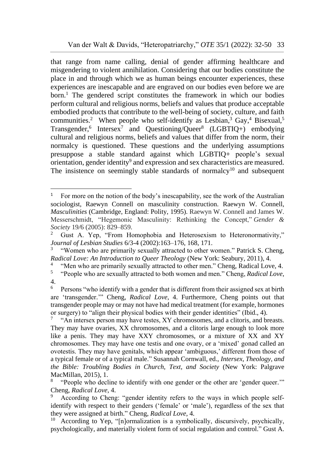that range from name calling, denial of gender affirming healthcare and misgendering to violent annihilation. Considering that our bodies constitute the place in and through which we as human beings encounter experiences, these experiences are inescapable and are engraved on our bodies even before we are born.<sup>1</sup> The gendered script constitutes the framework in which our bodies perform cultural and religious norms, beliefs and values that produce acceptable embodied products that contribute to the well-being of society, culture, and faith communities.<sup>2</sup> When people who self-identify as Lesbian,<sup>3</sup> Gay,<sup>4</sup> Bisexual,<sup>5</sup> Transgender,<sup>6</sup> Intersex<sup>7</sup> and Questioning/Queer<sup>8</sup> (LGBTIQ+) embodying cultural and religious norms, beliefs and values that differ from the norm, their normalcy is questioned. These questions and the underlying assumptions presuppose a stable standard against which LGBTIQ+ people's sexual orientation, gender identity<sup>9</sup> and expression and sex characteristics are measured. The insistence on seemingly stable standards of normalcy<sup>10</sup> and subsequent

1

4 "Men who are primarily sexually attracted to other men." Cheng, Radical Love, 4.

<sup>&</sup>lt;sup>1</sup> For more on the notion of the body's inescapability, see the work of the Australian sociologist, Raewyn Connell on masculinity construction. Raewyn W. Connell, *Masculinities* (Cambridge, England: Polity, 1995). Raewyn W. Connell and James W. Messerschmidt, "Hegemonic Masculinity: Rethinking the Concept," *Gender & Society* 19*/*6 (2005): 829–859.

Gust A. Yep, "From Homophobia and Heterosexism to Heteronormativity," *Journal of Lesbian Studies* 6/3-4 (2002):163–176, 168, 171.

<sup>3</sup> "Women who are primarily sexually attracted to other women." Patrick S. Cheng, *Radical Love: An Introduction to Queer Theology* (New York: Seabury, 2011), 4.

<sup>5</sup> "People who are sexually attracted to both women and men." Cheng, *Radical Love*, 4.

Persons "who identify with a gender that is different from their assigned sex at birth are 'transgender.'" Cheng, *Radical Love*, 4. Furthermore, Cheng points out that transgender people may or may not have had medical treatment (for example, hormones or surgery) to "align their physical bodies with their gender identities" (Ibid., 4).

<sup>7</sup> "An intersex person may have testes, XY chromosomes, and a clitoris, and breasts. They may have ovaries, XX chromosomes, and a clitoris large enough to look more like a penis. They may have XXY chromosomes, or a mixture of XX and XY chromosomes. They may have one testis and one ovary, or a 'mixed' gonad called an ovotestis. They may have genitals, which appear 'ambiguous,' different from those of a typical female or of a typical male." Susannah Cornwall, ed., *Intersex, Theology, and the Bible: Troubling Bodies in Church, Text, and Society* (New York: Palgrave MacMillan, 2015), 1.

<sup>8</sup> "People who decline to identify with one gender or the other are 'gender queer.'" Cheng, *Radical Love*, 4.

<sup>9</sup> According to Cheng: "gender identity refers to the ways in which people selfidentify with respect to their genders ('female' or 'male'), regardless of the sex that they were assigned at birth." Cheng, *Radical Love*, 4.

<sup>&</sup>lt;sup>10</sup> According to Yep, "[n]ormalization is a symbolically, discursively, psychically, psychologically, and materially violent form of social regulation and control." Gust A.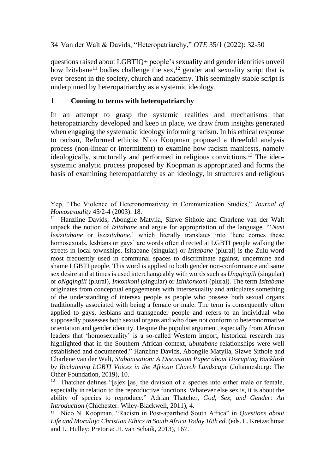questions raised about LGBTIQ+ people's sexuality and gender identities unveil how Izitabane<sup>11</sup> bodies challenge the sex,  $12$  gender and sexuality script that is ever present in the society, church and academy. This seemingly stable script is underpinned by heteropatriarchy as a systemic ideology.

# **1 Coming to terms with heteropatriarchy**

**.** 

In an attempt to grasp the systemic realities and mechanisms that heteropatriarchy developed and keep in place, we draw from insights generated when engaging the systematic ideology informing racism. In his ethical response to racism, Reformed ethicist Nico Koopman proposed a threefold analysis process (non-linear or intermittent) to examine how racism manifests, namely ideologically, structurally and performed in religious convictions.<sup>13</sup> The ideosystemic analytic process proposed by Koopman is appropriated and forms the basis of examining heteropatriarchy as an ideology, in structures and religious

Yep, "The Violence of Heteronormativity in Communication Studies," *Journal of Homosexuality* 45/2-4 (2003): 18.

<sup>&</sup>lt;sup>11</sup> Hanzline Davids, Abongile Matyila, Sizwe Sithole and Charlene van der Walt unpack the notion of *Izitabane* and argue for appropriation of the language. "'*Nasi lesizitabane* or *lezizitabane*,' which literally translates into 'here comes these homosexuals, lesbians or gays' are words often directed at LGBTI people walking the streets in local townships. Isitabane (singular) or *Izitabane* (plural) is the Zulu word most frequently used in communal spaces to discriminate against, undermine and shame LGBTI people. This word is applied to both gender non-conformance and same sex desire and at times is used interchangeably with words such as *Ungqingili* (singular) or *oNgqingili* (plural), *Inkonkoni* (singular) or *Izinkonkoni* (plural). The term *Isitabane* originates from conceptual engagements with intersexuality and articulates something of the understanding of intersex people as people who possess both sexual organs traditionally associated with being a female or male. The term is consequently often applied to gays, lesbians and transgender people and refers to an individual who supposedly possesses both sexual organs and who does not conform to heteronormative orientation and gender identity. Despite the populist argument, especially from African leaders that 'homosexuality' is a so-called Western import, historical research has highlighted that in the Southern African context, *ubutabane* relationships were well established and documented." Hanzline Davids, Abongile Matyila, Sizwe Sithole and Charlene van der Walt, *Stabanisation: A Discussion Paper about Disrupting Backlash by Reclaiming LGBTI Voices in the African Church Landscape* (Johannesburg: The Other Foundation, 2019), 10.

<sup>&</sup>lt;sup>12</sup> Thatcher defines "[s]ex [as] the division of a species into either male or female, especially in relation to the reproductive functions. Whatever else sex is, it is about the ability of species to reproduce." Adrian Thatcher, *God, Sex, and Gender: An Introduction* (Chichester: Wiley-Blackwell, 2011), 4.

<sup>13</sup> Nico N. Koopman, "Racism in Post-apartheid South Africa" in *Questions about Life and Morality: Christian Ethics in South Africa Today 16th ed*. (eds. L. Kretzschmar and L. Hulley; Pretoria: JL van Schaik, 2013), 167.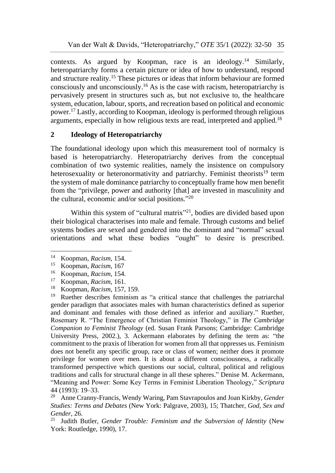contexts. As argued by Koopman, race is an ideology. <sup>14</sup> Similarly, heteropatriarchy forms a certain picture or idea of how to understand, respond and structure reality.<sup>15</sup> These pictures or ideas that inform behaviour are formed consciously and unconsciously. <sup>16</sup> As is the case with racism, heteropatriarchy is pervasively present in structures such as, but not exclusive to, the healthcare system, education, labour, sports, and recreation based on political and economic power. <sup>17</sup> Lastly, according to Koopman, ideology is performed through religious arguments, especially in how religious texts are read, interpreted and applied.<sup>18</sup>

# **2 Ideology of Heteropatriarchy**

The foundational ideology upon which this measurement tool of normalcy is based is heteropatriarchy. Heteropatriarchy derives from the conceptual combination of two systemic realities, namely the insistence on compulsory heterosexuality or heteronormativity and patriarchy. Feminist theorists<sup>19</sup> term the system of male dominance patriarchy to conceptually frame how men benefit from the "privilege, power and authority [that] are invested in masculinity and the cultural, economic and/or social positions." 20

Within this system of "cultural matrix"<sup>21</sup>, bodies are divided based upon their biological characterises into male and female. Through customs and belief systems bodies are sexed and gendered into the dominant and "normal" sexual orientations and what these bodies "ought" to desire is prescribed.

<sup>14</sup> Koopman, *Racism*, 154.

<sup>15</sup> Koopman, *Racism*, 167

<sup>16</sup> Koopman, *Racism*, 154.

<sup>17</sup> Koopman, *Racism*, 161.

<sup>18</sup> Koopman, *Racism*, 157, 159.

<sup>&</sup>lt;sup>19</sup> Ruether describes feminism as "a critical stance that challenges the patriarchal gender paradigm that associates males with human characteristics defined as superior and dominant and females with those defined as inferior and auxiliary." Ruether, Rosemary R. "The Emergence of Christian Feminist Theology," in *The Cambridge Companion to Feminist Theology* (ed. Susan Frank Parsons; Cambridge: Cambridge University Press, 2002.), 3. Ackermann elaborates by defining the term as: "the commitment to the praxis of liberation for women from all that oppresses us. Feminism does not benefit any specific group, race or class of women; neither does it promote privilege for women over men. It is about a different consciousness, a radically transformed perspective which questions our social, cultural, political and religious traditions and calls for structural change in all these spheres." Denise M. Ackermann, "Meaning and Power: Some Key Terms in Feminist Liberation Theology," *Scriptura* 44 (1993): 19–33.

<sup>20</sup> Anne Cranny-Francis, Wendy Waring, Pam Stavrapoulos and Joan Kirkby, *Gender Studies: Terms and Debates* (New York: Palgrave, 2003), 15; Thatcher, *God, Sex and Gender*, 26.

<sup>21</sup> Judith Butler, *Gender Trouble: Feminism and the Subversion of Identity* (New York: Routledge, 1990), 17.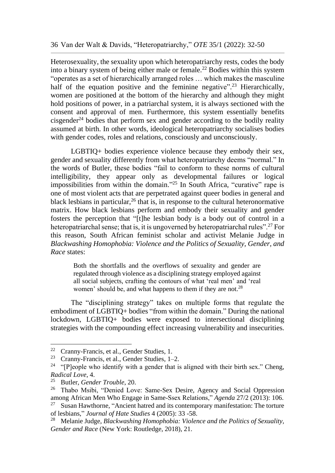Heterosexuality, the sexuality upon which heteropatriarchy rests, codes the body into a binary system of being either male or female.<sup>22</sup> Bodies within this system "operates as a set of hierarchically arranged roles … which makes the masculine half of the equation positive and the feminine negative".<sup>23</sup> Hierarchically, women are positioned at the bottom of the hierarchy and although they might hold positions of power, in a patriarchal system, it is always sectioned with the consent and approval of men. Furthermore, this system essentially benefits cisgender<sup>24</sup> bodies that perform sex and gender according to the bodily reality assumed at birth. In other words, ideological heteropatriarchy socialises bodies with gender codes, roles and relations, consciously and unconsciously.

LGBTIQ+ bodies experience violence because they embody their sex, gender and sexuality differently from what heteropatriarchy deems "normal." In the words of Butler, these bodies "fail to conform to these norms of cultural intelligibility, they appear only as developmental failures or logical impossibilities from within the domain."<sup>25</sup> In South Africa, "curative" rape is one of most violent acts that are perpetrated against queer bodies in general and black lesbians in particular,<sup>26</sup> that is, in response to the cultural heteronormative matrix. How black lesbians perform and embody their sexuality and gender fosters the perception that "[t]he lesbian body is a body out of control in a heteropatriarchal sense; that is, it is ungoverned by heteropatriarchal rules".<sup>27</sup> For this reason, South African feminist scholar and activist Melanie Judge in *Blackwashing Homophobia: Violence and the Politics of Sexuality, Gender, and Race* states:

Both the shortfalls and the overflows of sexuality and gender are regulated through violence as a disciplining strategy employed against all social subjects, crafting the contours of what 'real men' and 'real women' should be, and what happens to them if they are not.<sup>28</sup>

The "disciplining strategy" takes on multiple forms that regulate the embodiment of LGBTIQ+ bodies "from within the domain." During the national lockdown, LGBTIQ+ bodies were exposed to intersectional disciplining strategies with the compounding effect increasing vulnerability and insecurities.

<sup>&</sup>lt;sup>22</sup> Cranny-Francis, et al., Gender Studies, 1.

<sup>23</sup> Cranny-Francis, et al., Gender Studies, 1–2.

<sup>&</sup>lt;sup>24</sup> "[P]eople who identify with a gender that is aligned with their birth sex." Cheng, *Radical Love*, 4.

<sup>25</sup> Butler, *Gender Trouble*, 20.

<sup>26</sup> Thabo Msibi, "Denied Love: Same-Sex Desire, Agency and Social Oppression among African Men Who Engage in Same-Ssex Relations," *Agenda* 27/2 (2013): 106. <sup>27</sup> Susan Hawthorne, "Ancient hatred and its contemporary manifestation: The torture

of lesbians," *Journal of Hate Studies* 4 (2005): 33 -58.

<sup>28</sup> Melanie Judge, *Blackwashing Homophobia: Violence and the Politics of Sexuality, Gender and Race* (New York: Routledge, 2018), 21.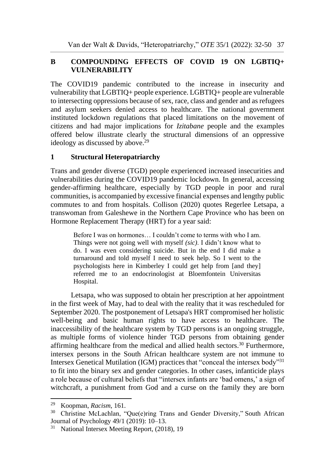Van der Walt & Davids, "Heteropatriarchy," *OTE* 35/1 (2022): 32-50 37

# **B COMPOUNDING EFFECTS OF COVID 19 ON LGBTIQ+ VULNERABILITY**

The COVID19 pandemic contributed to the increase in insecurity and vulnerability that LGBTIQ+ people experience. LGBTIQ+ people are vulnerable to intersecting oppressions because of sex, race, class and gender and as refugees and asylum seekers denied access to healthcare. The national government instituted lockdown regulations that placed limitations on the movement of citizens and had major implications for *Izitabane* people and the examples offered below illustrate clearly the structural dimensions of an oppressive ideology as discussed by above.<sup>29</sup>

### **1 Structural Heteropatriarchy**

Trans and gender diverse (TGD) people experienced increased insecurities and vulnerabilities during the COVID19 pandemic lockdown. In general, accessing gender-affirming healthcare, especially by TGD people in poor and rural communities, is accompanied by excessive financial expenses and lengthy public commutes to and from hospitals. Collison (2020) quotes Regerlee Letsapa, a transwoman from Galeshewe in the Northern Cape Province who has been on Hormone Replacement Therapy (HRT) for a year said:

Before I was on hormones… I couldn't come to terms with who I am. Things were not going well with myself *(sic)*. I didn't know what to do. I was even considering suicide. But in the end I did make a turnaround and told myself I need to seek help. So I went to the psychologists here in Kimberley I could get help from [and they] referred me to an endocrinologist at Bloemfontein Universitas Hospital.

Letsapa, who was supposed to obtain her prescription at her appointment in the first week of May, had to deal with the reality that it was rescheduled for September 2020. The postponement of Letsapa's HRT compromised her holistic well-being and basic human rights to have access to healthcare. The inaccessibility of the healthcare system by TGD persons is an ongoing struggle, as multiple forms of violence hinder TGD persons from obtaining gender affirming healthcare from the medical and allied health sectors.<sup>30</sup> Furthermore, intersex persons in the South African healthcare system are not immune to Intersex Genetical Mutilation (IGM) practices that "conceal the intersex body"<sup>31</sup> to fit into the binary sex and gender categories. In other cases, infanticide plays a role because of cultural beliefs that "intersex infants are 'bad omens,' a sign of witchcraft, a punishment from God and a curse on the family they are born

<sup>29</sup> <sup>29</sup> Koopman, *Racism*, 161.

<sup>&</sup>lt;sup>30</sup> Christine McLachlan, "Que(e)ring Trans and Gender Diversity," South African Journal of Psychology 49/1 (2019): 10–13.

<sup>&</sup>lt;sup>31</sup> National Intersex Meeting Report, (2018), 19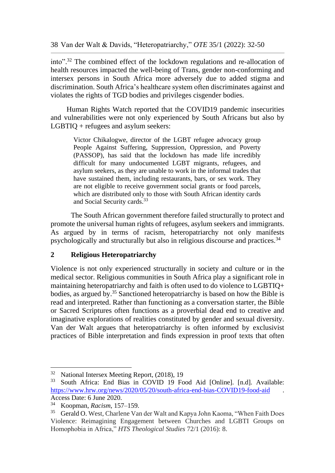into". <sup>32</sup> The combined effect of the lockdown regulations and re-allocation of health resources impacted the well-being of Trans, gender non-conforming and intersex persons in South Africa more adversely due to added stigma and discrimination. South Africa's healthcare system often discriminates against and violates the rights of TGD bodies and privileges cisgender bodies.

Human Rights Watch reported that the COVID19 pandemic insecurities and vulnerabilities were not only experienced by South Africans but also by LGBTIQ + refugees and asylum seekers:

Victor Chikalogwe, director of the LGBT refugee advocacy group People Against Suffering, Suppression, Oppression, and Poverty (PASSOP), has said that the lockdown has made life incredibly difficult for many undocumented LGBT migrants, refugees, and asylum seekers, as they are unable to work in the informal trades that have sustained them, including restaurants, bars, or sex work. They are not eligible to receive government social grants or food parcels, which are distributed only to those with South African identity cards and Social Security cards. 33

The South African government therefore failed structurally to protect and promote the universal human rights of refugees, asylum seekers and immigrants. As argued by in terms of racism, heteropatriarchy not only manifests psychologically and structurally but also in religious discourse and practices.<sup>34</sup>

# **2 Religious Heteropatriarchy**

Violence is not only experienced structurally in society and culture or in the medical sector. Religious communities in South Africa play a significant role in maintaining heteropatriarchy and faith is often used to do violence to LGBTIQ+ bodies, as argued by. <sup>35</sup> Sanctioned heteropatriarchy is based on how the Bible is read and interpreted. Rather than functioning as a conversation starter, the Bible or Sacred Scriptures often functions as a proverbial dead end to creative and imaginative explorations of realities constituted by gender and sexual diversity. Van der Walt argues that heteropatriarchy is often informed by exclusivist practices of Bible interpretation and finds expression in proof texts that often

1

<sup>32</sup> National Intersex Meeting Report, (2018), 19

<sup>33</sup> South Africa: End Bias in COVID 19 Food Aid [Online]. [n.d]. Available: [https://www.hrw.org/news/2020/05/20/south-africa-end-bias-COVID19-food-aid](https://www.hrw.org/news/2020/05/20/south-africa-end-bias-covid-19-food-aid) . Access Date: 6 June 2020.

<sup>34</sup> Koopman, *Racism*, 157–159.

<sup>35</sup> Gerald O. West, Charlene Van der Walt and Kapya John Kaoma, "When Faith Does Violence: Reimagining Engagement between Churches and LGBTI Groups on Homophobia in Africa," *HTS Theological Studies* 72/1 (2016): 8.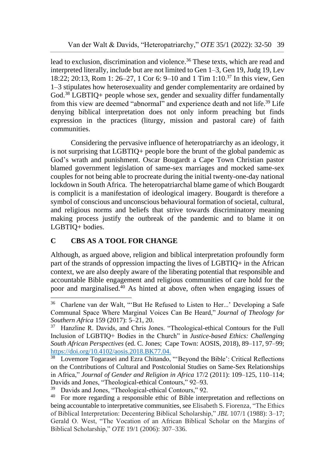lead to exclusion, discrimination and violence. <sup>36</sup> These texts, which are read and interpreted literally, include but are not limited to Gen 1–3, Gen 19, Judg 19, Lev 18:22; 20:13, Rom 1: 26–27, 1 Cor 6: 9–10 and 1 Tim 1:10. <sup>37</sup> In this view, Gen 1–3 stipulates how heterosexuality and gender complementarity are ordained by God.<sup>38</sup> LGBTIQ+ people whose sex, gender and sexuality differ fundamentally from this view are deemed "abnormal" and experience death and not life.<sup>39</sup> Life denying biblical interpretation does not only inform preaching but finds expression in the practices (liturgy, mission and pastoral care) of faith communities.

Considering the pervasive influence of heteropatriarchy as an ideology, it is not surprising that LGBTIQ+ people bore the brunt of the global pandemic as God's wrath and punishment. Oscar Bougardt a Cape Town Christian pastor blamed government legislation of same-sex marriages and mocked same-sex couples for not being able to procreate during the initial twenty-one-day national lockdown in South Africa. The heteropatriarchal blame game of which Bougardt is complicit is a manifestation of ideological imagery. Bougardt is therefore a symbol of conscious and unconscious behavioural formation of societal, cultural, and religious norms and beliefs that strive towards discriminatory meaning making process justify the outbreak of the pandemic and to blame it on LGBTIQ+ bodies.

# **C CBS AS A TOOL FOR CHANGE**

**.** 

Although, as argued above, religion and biblical interpretation profoundly form part of the strands of oppression impacting the lives of LGBTIQ+ in the African context, we are also deeply aware of the liberating potential that responsible and accountable Bible engagement and religious communities of care hold for the poor and marginalised.<sup>40</sup> As hinted at above, often when engaging issues of

<sup>36</sup> Charlene van der Walt, "'But He Refused to Listen to Her...' Developing a Safe Communal Space Where Marginal Voices Can Be Heard," *Journal of Theology for Southern Africa* 159 (2017): 5–21, 20.

<sup>37</sup> Hanzline R. Davids, and Chris Jones. "Theological-ethical Contours for the Full Inclusion of LGBTIQ+ Bodies in the Church" in *Justice-based Ethics: Challenging South African Perspectives* (ed. C. Jones; Cape Town: AOSIS, 2018), 89–117, 97–99; [https://doi.org/10.4102/aosis.2018.BK77.04.](https://doi.org/10.4102/aosis.2018.BK77.04)

<sup>38</sup> Lovemore Togarasei and Ezra Chitando, "'Beyond the Bible': Critical Reflections on the Contributions of Cultural and Postcolonial Studies on Same-Sex Relationships in Africa," *Journal of Gender and Religion in Africa* 17/2 (2011): 109–125, 110–114; Davids and Jones, "Theological-ethical Contours," 92–93.

<sup>39</sup> Davids and Jones, "Theological-ethical Contours," 92.

<sup>40</sup> For more regarding a responsible ethic of Bible interpretation and reflections on being accountable to interpretative communities, see Elisabeth S. Fiorenza, "The Ethics of Biblical Interpretation: Decentering Biblical Scholarship," *JBL* 107/1 (1988): 3–17; Gerald O. West, "The Vocation of an African Biblical Scholar on the Margins of Biblical Scholarship," *OTE* 19/1 (2006): 307–336.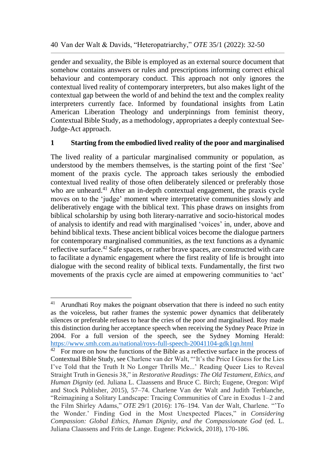gender and sexuality, the Bible is employed as an external source document that somehow contains answers or rules and prescriptions informing correct ethical behaviour and contemporary conduct. This approach not only ignores the contextual lived reality of contemporary interpreters, but also makes light of the contextual gap between the world of and behind the text and the complex reality interpreters currently face. Informed by foundational insights from Latin American Liberation Theology and underpinnings from feminist theory, Contextual Bible Study, as a methodology, appropriates a deeply contextual See-Judge-Act approach.

# **1 Starting from the embodied lived reality of the poor and marginalised**

The lived reality of a particular marginalised community or population, as understood by the members themselves, is the starting point of the first 'See' moment of the praxis cycle. The approach takes seriously the embodied contextual lived reality of those often deliberately silenced or preferably those who are unheard.<sup>41</sup> After an in-depth contextual engagement, the praxis cycle moves on to the 'judge' moment where interpretative communities slowly and deliberatively engage with the biblical text. This phase draws on insights from biblical scholarship by using both literary-narrative and socio-historical modes of analysis to identify and read with marginalised 'voices' in, under, above and behind biblical texts. These ancient biblical voices become the dialogue partners for contemporary marginalised communities, as the text functions as a dynamic reflective surface.<sup>42</sup> Safe spaces, or rather brave spaces, are constructed with care to facilitate a dynamic engagement where the first reality of life is brought into dialogue with the second reality of biblical texts. Fundamentally, the first two movements of the praxis cycle are aimed at empowering communities to 'act'

 $41$  Arundhati Roy makes the poignant observation that there is indeed no such entity as the voiceless, but rather frames the systemic power dynamics that deliberately silences or preferable refuses to hear the cries of the poor and marginalised. Roy made this distinction during her acceptance speech when receiving the Sydney Peace Prize in 2004. For a full version of the speech, see the Sydney Morning Herald: <https://www.smh.com.au/national/roys-full-speech-20041104-gdk1qn.html><br><sup>42</sup> For more on how the functions of the Bible as a reflective surface in the

<sup>42</sup> For more on how the functions of the Bible as a reflective surface in the process of Contextual Bible Study, see Charlene van der Walt, "'It's the Price I Guess for the Lies I've Told that the Truth It No Longer Thrills Me...' Reading Queer Lies to Reveal Straight Truth in Genesis 38," in *Restorative Readings: The Old Testament, Ethics, and Human Dignity* (ed. Juliana L. Claassens and Bruce C. Birch; Eugene, Oregon: Wipf and Stock Publisher, 2015), 57–74. Charlene Van der Walt and Judith Terblanche, "Reimagining a Solitary Landscape: Tracing Communities of Care in Exodus 1–2 and the Film Shirley Adams," *OTE* 29/1 (2016): 176–194. Van der Walt, Charlene. "'To the Wonder.' Finding God in the Most Unexpected Places," in *Considering Compassion: Global Ethics, Human Dignity, and the Compassionate God* (ed. L. Juliana Claassens and Frits de Lange. Eugene: Pickwick, 2018), 170-186.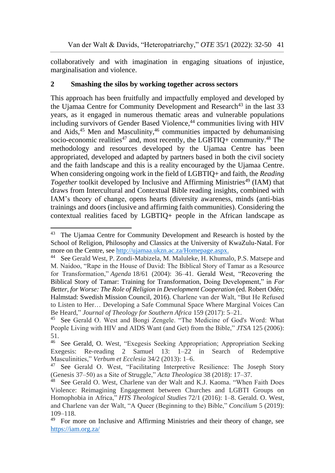collaboratively and with imagination in engaging situations of injustice, marginalisation and violence.

### **2 Smashing the silos by working together across sectors**

This approach has been fruitfully and impactfully employed and developed by the Ujamaa Centre for Community Development and Research<sup>43</sup> in the last  $33$ years, as it engaged in numerous thematic areas and vulnerable populations including survivors of Gender Based Violence, $44$  communities living with HIV and Aids, $45$  Men and Masculinity, $46$  communities impacted by dehumanising socio-economic realities<sup>47</sup> and, most recently, the LGBTIO+ community.<sup>48</sup> The methodology and resources developed by the Ujamaa Centre has been appropriated, developed and adapted by partners based in both the civil society and the faith landscape and this is a reality encouraged by the Ujamaa Centre. When considering ongoing work in the field of LGBTIQ+ and faith, the *Reading Together* toolkit developed by Inclusive and Affirming Ministries<sup>49</sup> (IAM) that draws from Intercultural and Contextual Bible reading insights, combined with IAM's theory of change, opens hearts (diversity awareness, minds (anti-bias trainings and doors (inclusive and affirming faith communities). Considering the contextual realities faced by LGBTIQ+ people in the African landscape as

<sup>&</sup>lt;sup>43</sup> The Ujamaa Centre for Community Development and Research is hosted by the School of Religion, Philosophy and Classics at the University of KwaZulu-Natal. For more on the Centre, see [http://ujamaa.ukzn.ac.za/Homepage.aspx.](http://ujamaa.ukzn.ac.za/Homepage.aspx)

<sup>44</sup> See Gerald West, P. Zondi-Mabizela, M. Maluleke, H. Khumalo, P.S. Matsepe and M. Naidoo, "Rape in the House of David: The Biblical Story of Tamar as a Resource for Transformation," *Agenda* 18/61 (2004): 36–41. Gerald West, "Recovering the Biblical Story of Tamar: Training for Transformation, Doing Development," in *For Better, for Worse: The Role of Religion in Development Cooperation* (ed. Robert Odén; Halmstad: Swedish Mission Council, 2016). Charlene van der Walt, "But He Refused to Listen to Her… Developing a Safe Communal Space Where Marginal Voices Can Be Heard," *Journal of Theology for Southern Africa* 159 (2017): 5–21.

<sup>45</sup> See Gerald O. West and Bongi Zengele. "The Medicine of God's Word: What People Living with HIV and AIDS Want (and Get) from the Bible," *JTSA* 125 (2006): 51.

<sup>46</sup> See Gerald, O. West, "Exegesis Seeking Appropriation; Appropriation Seeking Exegesis: Re-reading 2 Samuel 13: 1–22 in Search of Redemptive Masculinities," *Verbum et Ecclesia* 34/2 (2013): 1–6.

<sup>47</sup> See Gerald O. West, "Facilitating Interpretive Resilience: The Joseph Story (Genesis 37–50) as a Site of Struggle," *Acta Theologica* 38 (2018): 17–37.

<sup>48</sup> See Gerald O. West, Charlene van der Walt and K.J. Kaoma. "When Faith Does Violence: Reimagining Engagement between Churches and LGBTI Groups on Homophobia in Africa," *HTS Theological Studies* 72/1 (2016): 1–8. Gerald. O. West, and Charlene van der Walt, "A Queer (Beginning to the) Bible," *Concilium* 5 (2019): 109–118.

<sup>&</sup>lt;sup>49</sup> For more on Inclusive and Affirming Ministries and their theory of change, see <https://iam.org.za/>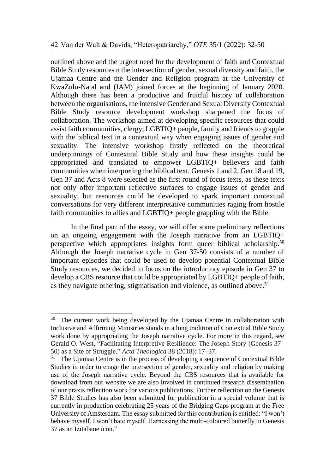outlined above and the urgent need for the development of faith and Contextual Bible Study resources n the intersection of gender, sexual diversity and faith, the Ujamaa Centre and the Gender and Religion program at the University of KwaZulu-Natal and (IAM) joined forces at the beginning of January 2020. Although there has been a productive and fruitful history of collaboration between the organisations, the intensive Gender and Sexual Diversity Contextual Bible Study resource development workshop sharpened the focus of collaboration. The workshop aimed at developing specific resources that could assist faith communities, clergy, LGBTIQ+ people, family and friends to grapple with the biblical text in a contextual way when engaging issues of gender and sexuality. The intensive workshop firstly reflected on the theoretical underpinnings of Contextual Bible Study and how these insights could be appropriated and translated to empower LGBTIQ+ believers and faith communities when interpreting the biblical text. Genesis 1 and 2, Gen 18 and 19, Gen 37 and Acts 8 were selected as the first round of focus texts, as these texts not only offer important reflective surfaces to engage issues of gender and sexuality, but resources could be developed to spark important contextual conversations for very different interpretative communities raging from hostile faith communities to allies and LGBTIQ+ people grappling with the Bible.

In the final part of the essay, we will offer some preliminary reflections on an ongoing engagement with the Joseph narrative from an LGBTIQ+ perspective which appropriates insights form queer biblical scholarship.<sup>50</sup> Although the Joseph narrative cycle in Gen 37-50 consists of a number of important episodes that could be used to develop potential Contextual Bible Study resources, we decided to focus on the introductory episode in Gen 37 to develop a CBS resource that could be appropriated by LGBTIQ+ people of faith, as they navigate othering, stigmatisation and violence, as outlined above.<sup>51</sup>

<sup>&</sup>lt;sup>50</sup> The current work being developed by the Ujamaa Centre in collaboration with Inclusive and Affirming Ministries stands in a long tradition of Contextual Bible Study work done by appropriating the Joseph narrative cycle. For more in this regard, see Gerald O. West, "Facilitating Interpretive Resilience: The Joseph Story (Genesis 37– 50) as a Site of Struggle," *Acta Theologica* 38 (2018): 17–37.

<sup>&</sup>lt;sup>51</sup> The Ujamaa Centre is in the process of developing a sequence of Contextual Bible Studies in order to enage the intersection of gender, sexuality and religion by making use of the Joseph narrative cycle. Beyond the CBS resources that is available for download from our website we are also involved in continued research dissemination of our praxis reflection work for various publications. Further reflection on the Genesis 37 Bible Studies has also been submitted for publication in a special volume that is currently in production celebrating 25 years of the Bridging Gaps program at the Free University of Amsterdam. The essay submitted for this contribution is entitled: "I won't behave myself. I won't hate myself. Harnessing the multi-coloured butterfly in Genesis 37 as an Izitabane icon."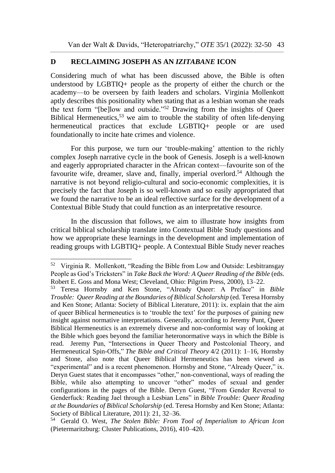#### **D RECLAIMING JOSEPH AS AN** *IZITABANE* **ICON**

Considering much of what has been discussed above, the Bible is often understood by LGBTIQ+ people as the property of either the church or the academy—to be overseen by faith leaders and scholars. Virginia Mollenkott aptly describes this positionality when stating that as a lesbian woman she reads the text form "[be]low and outside."<sup>52</sup> Drawing from the insights of Queer Biblical Hermeneutics, <sup>53</sup> we aim to trouble the stability of often life-denying hermeneutical practices that exclude LGBTIQ+ people or are used foundationally to incite hate crimes and violence.

For this purpose, we turn our 'trouble-making' attention to the richly complex Joseph narrative cycle in the book of Genesis. Joseph is a well-known and eagerly appropriated character in the African context—favourite son of the favourite wife, dreamer, slave and, finally, imperial overlord.<sup>54</sup> Although the narrative is not beyond religio-cultural and socio-economic complexities, it is precisely the fact that Joseph is so well-known and so easily appropriated that we found the narrative to be an ideal reflective surface for the development of a Contextual Bible Study that could function as an interpretative resource.

In the discussion that follows, we aim to illustrate how insights from critical biblical scholarship translate into Contextual Bible Study questions and how we appropriate these learnings in the development and implementation of reading groups with LGBTIQ+ people. A Contextual Bible Study never reaches

 $52$  Virginia R. Mollenkott, "Reading the Bible from Low and Outside: Lesbitransgay People as God's Tricksters" in *Take Back the Word: A Queer Reading of the Bible* (eds. Robert E. Goss and Mona West; Cleveland, Ohio: Pilgrim Press, 2000), 13–22.

<sup>53</sup> Teresa Hornsby and Ken Stone, "Already Queer: A Preface" in *Bible Trouble: Queer Reading at the Boundaries of Biblical Scholarship* (ed. Teresa Hornsby and Ken Stone; Atlanta: Society of Biblical Literature, 2011): ix. explain that the aim of queer Biblical hermeneutics is to 'trouble the text' for the purposes of gaining new insight against normative interpretations. Generally, according to Jeremy Punt, Queer Biblical Hermeneutics is an extremely diverse and non-conformist way of looking at the Bible which goes beyond the familiar heteronormative ways in which the Bible is read. Jeremy Pun, "Intersections in Queer Theory and Postcolonial Theory, and Hermeneutical Spin-Offs," *The Bible and Critical Theory* 4/2 (2011): 1–16, Hornsby and Stone, also note that Queer Biblical Hermeneutics has been viewed as "experimental" and is a recent phenomenon. Hornsby and Stone, "Already Queer," ix. Deryn Guest states that it encompasses "other," non-conventional, ways of reading the Bible, while also attempting to uncover "other" modes of sexual and gender configurations in the pages of the Bible. Deryn Guest, "From Gender Reversal to Genderfuck: Reading Jael through a Lesbian Lens" in *Bible Trouble: Queer Reading at the Boundaries of Biblical Scholarship* (ed. Teresa Hornsby and Ken Stone; Atlanta: Society of Biblical Literature, 2011): 21, 32–36.

<sup>54</sup> Gerald O. West, *The Stolen Bible: From Tool of Imperialism to African Icon* (Pietermaritzburg: Cluster Publications, 2016), 410–420.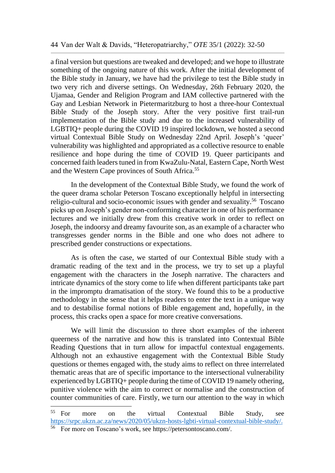a final version but questions are tweaked and developed; and we hope to illustrate something of the ongoing nature of this work. After the initial development of the Bible study in January, we have had the privilege to test the Bible study in two very rich and diverse settings. On Wednesday, 26th February 2020, the Ujamaa, Gender and Religion Program and IAM collective partnered with the Gay and Lesbian Network in Pietermaritzburg to host a three-hour Contextual Bible Study of the Joseph story. After the very positive first trail-run implementation of the Bible study and due to the increased vulnerability of LGBTIQ+ people during the COVID 19 inspired lockdown, we hosted a second virtual Contextual Bible Study on Wednesday 22nd April. Joseph's 'queer' vulnerability was highlighted and appropriated as a collective resource to enable resilience and hope during the time of COVID 19. Queer participants and concerned faith leaders tuned in from KwaZulu-Natal, Eastern Cape, North West and the Western Cape provinces of South Africa. 55

In the development of the Contextual Bible Study, we found the work of the queer drama scholar Peterson Toscano exceptionally helpful in intersecting religio-cultural and socio-economic issues with gender and sexuality.<sup>56</sup> Toscano picks up on Joseph's gender non-conforming character in one of his performance lectures and we initially drew from this creative work in order to reflect on Joseph, the indoorsy and dreamy favourite son, as an example of a character who transgresses gender norms in the Bible and one who does not adhere to prescribed gender constructions or expectations.

As is often the case, we started of our Contextual Bible study with a dramatic reading of the text and in the process, we try to set up a playful engagement with the characters in the Joseph narrative. The characters and intricate dynamics of the story come to life when different participants take part in the impromptu dramatisation of the story. We found this to be a productive methodology in the sense that it helps readers to enter the text in a unique way and to destabilise formal notions of Bible engagement and, hopefully, in the process, this cracks open a space for more creative conversations.

We will limit the discussion to three short examples of the inherent queerness of the narrative and how this is translated into Contextual Bible Reading Questions that in turn allow for impactful contextual engagements. Although not an exhaustive engagement with the Contextual Bible Study questions or themes engaged with, the study aims to reflect on three interrelated thematic areas that are of specific importance to the intersectional vulnerability experienced by LGBTIQ+ people during the time of COVID 19 namely othering, punitive violence with the aim to correct or normalise and the construction of counter communities of care. Firstly, we turn our attention to the way in which

 $55 For$ <sup>55</sup> For more on the virtual Contextual Bible Study, see [https://srpc.ukzn.ac.za/news/2020/05/ukzn-hosts-lgbti-virtual-contextual-bible-study/.](https://srpc.ukzn.ac.za/news/2020/05/ukzn-hosts-lgbti-virtual-contextual-bible-study/)

<sup>56</sup> For more on Toscano's work, see https://petersontoscano.com/.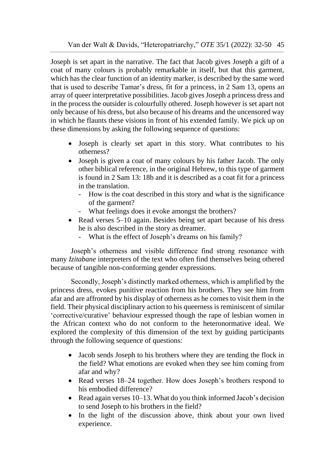Joseph is set apart in the narrative. The fact that Jacob gives Joseph a gift of a coat of many colours is probably remarkable in itself, but that this garment, which has the clear function of an identity marker, is described by the same word that is used to describe Tamar's dress, fit for a princess, in 2 Sam 13, opens an array of queer interpretative possibilities. Jacob gives Joseph a princess dress and in the process the outsider is colourfully othered. Joseph however is set apart not only because of his dress, but also because of his dreams and the uncensored way in which he flaunts these visions in front of his extended family. We pick up on these dimensions by asking the following sequence of questions:

- Joseph is clearly set apart in this story. What contributes to his otherness?
- Joseph is given a coat of many colours by his father Jacob. The only other biblical reference, in the original Hebrew, to this type of garment is found in 2 Sam 13: 18b and it is described as a coat fit for a princess in the translation.
	- How is the coat described in this story and what is the significance of the garment?
	- What feelings does it evoke amongst the brothers?
- Read verses 5–10 again. Besides being set apart because of his dress he is also described in the story as dreamer.
	- What is the effect of Joseph's dreams on his family?

Joseph's otherness and visible difference find strong resonance with many *Izitabane* interpreters of the text who often find themselves being othered because of tangible non-conforming gender expressions.

Secondly, Joseph's distinctly marked otherness, which is amplified by the princess dress, evokes punitive reaction from his brothers. They see him from afar and are affronted by his display of otherness as he comes to visit them in the field. Their physical disciplinary action to his queerness is reminiscent of similar 'corrective/curative' behaviour expressed though the rape of lesbian women in the African context who do not conform to the heteronormative ideal. We explored the complexity of this dimension of the text by guiding participants through the following sequence of questions:

- Jacob sends Joseph to his brothers where they are tending the flock in the field? What emotions are evoked when they see him coming from afar and why?
- Read verses 18–24 together. How does Joseph's brothers respond to his embodied difference?
- Read again verses 10–13. What do you think informed Jacob's decision to send Joseph to his brothers in the field?
- In the light of the discussion above, think about your own lived experience.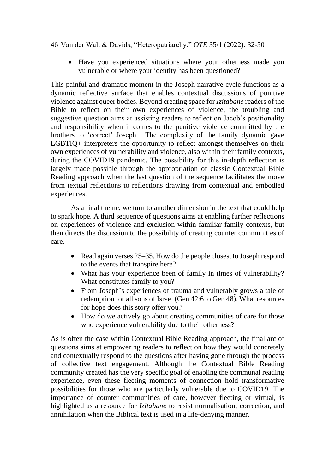• Have you experienced situations where your otherness made you vulnerable or where your identity has been questioned?

This painful and dramatic moment in the Joseph narrative cycle functions as a dynamic reflective surface that enables contextual discussions of punitive violence against queer bodies. Beyond creating space for *Izitabane* readers of the Bible to reflect on their own experiences of violence, the troubling and suggestive question aims at assisting readers to reflect on Jacob's positionality and responsibility when it comes to the punitive violence committed by the brothers to 'correct' Joseph. The complexity of the family dynamic gave LGBTIQ+ interpreters the opportunity to reflect amongst themselves on their own experiences of vulnerability and violence, also within their family contexts, during the COVID19 pandemic. The possibility for this in-depth reflection is largely made possible through the appropriation of classic Contextual Bible Reading approach when the last question of the sequence facilitates the move from textual reflections to reflections drawing from contextual and embodied experiences.

As a final theme, we turn to another dimension in the text that could help to spark hope. A third sequence of questions aims at enabling further reflections on experiences of violence and exclusion within familiar family contexts, but then directs the discussion to the possibility of creating counter communities of care.

- Read again verses 25–35. How do the people closest to Joseph respond to the events that transpire here?
- What has your experience been of family in times of vulnerability? What constitutes family to you?
- From Joseph's experiences of trauma and vulnerably grows a tale of redemption for all sons of Israel (Gen 42:6 to Gen 48). What resources for hope does this story offer you?
- How do we actively go about creating communities of care for those who experience vulnerability due to their otherness?

As is often the case within Contextual Bible Reading approach, the final arc of questions aims at empowering readers to reflect on how they would concretely and contextually respond to the questions after having gone through the process of collective text engagement. Although the Contextual Bible Reading community created has the very specific goal of enabling the communal reading experience, even these fleeting moments of connection hold transformative possibilities for those who are particularly vulnerable due to COVID19. The importance of counter communities of care, however fleeting or virtual, is highlighted as a resource for *Izitabane* to resist normalisation, correction, and annihilation when the Biblical text is used in a life-denying manner.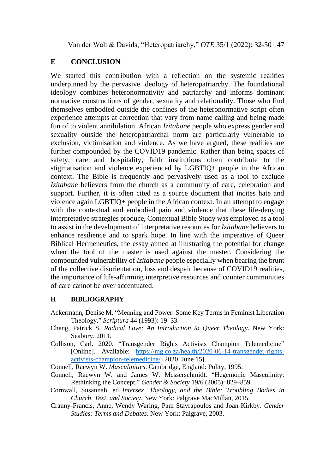#### **E CONCLUSION**

We started this contribution with a reflection on the systemic realities underpinned by the pervasive ideology of heteropatriarchy. The foundational ideology combines heteronormativity and patriarchy and informs dominant normative constructions of gender, sexuality and relationality. Those who find themselves embodied outside the confines of the heteronormative script often experience attempts at correction that vary from name calling and being made fun of to violent annihilation. African *Izitabane* people who express gender and sexuality outside the heteropatriarchal norm are particularly vulnerable to exclusion, victimisation and violence. As we have argued, these realities are further compounded by the COVID19 pandemic. Rather than being spaces of safety, care and hospitality, faith institutions often contribute to the stigmatisation and violence experienced by LGBTIQ+ people in the African context. The Bible is frequently and pervasively used as a tool to exclude *Izitabane* believers from the church as a community of care, celebration and support. Further, it is often cited as a source document that incites hate and violence again LGBTIQ+ people in the African context. In an attempt to engage with the contextual and embodied pain and violence that these life-denying interpretative strategies produce, Contextual Bible Study was employed as a tool to assist in the development of interpretative resources for *Izitabane* believers to enhance resilience and to spark hope. In line with the imperative of Queer Biblical Hermeneutics, the essay aimed at illustrating the potential for change when the tool of the master is used against the master. Considering the compounded vulnerability of *Izitabane* people especially when bearing the brunt of the collective disorientation, loss and despair because of COVID19 realities, the importance of life-affirming interpretive resources and counter communities of care cannot be over accentuated.

#### **H BIBLIOGRAPHY**

- Ackermann, Denise M. "Meaning and Power: Some Key Terms in Feminist Liberation Theology." *Scriptura* 44 (1993): 19–33.
- Cheng, Patrick S. *Radical Love: An Introduction to Queer Theology*. New York: Seabury, 2011.
- Collison, Carl. 2020. "Transgender Rights Activists Champion Telemedicine" [Online]. Available: [https://mg.co.za/health/2020-06-14-transgender-rights](https://mg.co.za/health/2020-06-14-transgender-rights-activists-champion-telemedicine/)[activists-champion-telemedicine/](https://mg.co.za/health/2020-06-14-transgender-rights-activists-champion-telemedicine/) [2020, June 15].
- Connell, Raewyn W. *Masculinities*. Cambridge, England: Polity, 1995.
- Connell, Raewyn W. and James W. Messerschmidt. "Hegemonic Masculinity: Rethinking the Concept." *Gender & Society* 19/6 (2005): 829–859.
- Cornwall, Susannah, ed. *Intersex, Theology, and the Bible: Troubling Bodies in Church, Text, and Society*. New York: Palgrave MacMillan, 2015.
- Cranny-Francis, Anne, Wendy Waring, Pam Stavrapoulos and Joan Kirkby. *Gender Studies: Terms and Debates*. New York: Palgrave, 2003.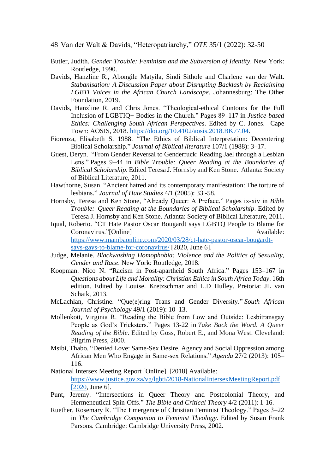48 Van der Walt & Davids, "Heteropatriarchy," *OTE* 35/1 (2022): 32-50

- Butler, Judith. *Gender Trouble: Feminism and the Subversion of Identity*. New York: Routledge, 1990.
- Davids, Hanzline R., Abongile Matyila, Sindi Sithole and Charlene van der Walt. *Stabanisation: A Discussion Paper about Disrupting Backlash by Reclaiming LGBTI Voices in the African Church Landscape*. Johannesburg: The Other Foundation, 2019.
- Davids, Hanzline R. and Chris Jones. "Theological-ethical Contours for the Full Inclusion of LGBTIQ+ Bodies in the Church." Pages 89–117 in *Justice-based Ethics: Challenging South African Perspectives*. Edited by C. Jones. Cape Town: AOSIS, 2018. [https://doi.org/10.4102/aosis.2018.BK77.04.](https://doi.org/10.4102/aosis.2018.BK77.04)
- Fiorenza, Elisabeth S. 1988. "The Ethics of Biblical Interpretation: Decentering Biblical Scholarship." *Journal of Biblical literature* 107/1 (1988): 3–17.
- Guest, Deryn. "From Gender Reversal to Genderfuck: Reading Jael through a Lesbian Lens." Pages 9–44 in *Bible Trouble: Queer Reading at the Boundaries of Biblical Scholarship*. Edited Teresa J. Hornsby and Ken Stone. Atlanta: Society of Biblical Literature, 2011.
- Hawthorne, Susan. "Ancient hatred and its contemporary manifestation: The torture of lesbians." *Journal of Hate Studies* 4/1 (2005): 33 -58.
- Hornsby, Teresa and Ken Stone, "Already Queer: A Preface." Pages ix-xiv in *Bible Trouble: Queer Reading at the Boundaries of Biblical Scholarship*. Edited by Teresa J. Hornsby and Ken Stone. Atlanta: Society of Biblical Literature, 2011.
- Iqual, Roberto. "CT Hate Pastor Oscar Bougardt says LGBTQ People to Blame for Coronavirus."[Online] Available: [https://www.mambaonline.com/2020/03/28/ct-hate-pastor-oscar-bougardt](https://www.mambaonline.com/2020/03/28/ct-hate-pastor-oscar-bougardt-says-gays-to-blame-for-coronavirus/)[says-gays-to-blame-for-coronavirus/](https://www.mambaonline.com/2020/03/28/ct-hate-pastor-oscar-bougardt-says-gays-to-blame-for-coronavirus/) [2020, June 6].
- Judge, Melanie. *Blackwashing Homophobia: Violence and the Politics of Sexuality, Gender and Race*. New York: Routledge, 2018.
- Koopman. Nico N. "Racism in Post-apartheid South Africa." Pages 153–167 in *Questions about Life and Morality: Christian Ethics in South Africa Today*. 16th edition. Edited by Louise. Kretzschmar and L.D Hulley. Pretoria: JL van Schaik, 2013.
- McLachlan, Christine. "Que(e)ring Trans and Gender Diversity." *South African Journal of Psychology* 49/1 (2019): 10–13.
- Mollenkott, Virginia R. "Reading the Bible from Low and Outside: Lesbitransgay People as God's Tricksters." Pages 13-22 in *Take Back the Word. A Queer Reading of the Bible*. Edited by Goss, Robert E., and Mona West. Cleveland: Pilgrim Press, 2000.
- Msibi, Thabo. "Denied Love: Same-Sex Desire, Agency and Social Oppression among African Men Who Engage in Same-sex Relations." *Agenda* 27/2 (2013): 105– 116.
- National Intersex Meeting Report [Online]. [2018] Available: [https://www.justice.gov.za/vg/lgbti/2018-NationalIntersexMeetingReport.pdf](https://www.justice.gov.za/vg/lgbti/2018-NationalIntersexMeetingReport.pdf%20%5b2020)  [\[2020,](https://www.justice.gov.za/vg/lgbti/2018-NationalIntersexMeetingReport.pdf%20%5b2020) June 6].
- Punt, Jeremy. "Intersections in Queer Theory and Postcolonial Theory, and Hermeneutical Spin-Offs." *The Bible and Critical Theory* 4/2 (2011): 1-16.
- Ruether, Rosemary R. "The Emergence of Christian Feminist Theology." Pages 3–22 in *The Cambridge Companion to Feminist Theology*. Edited by Susan Frank Parsons. Cambridge: Cambridge University Press, 2002.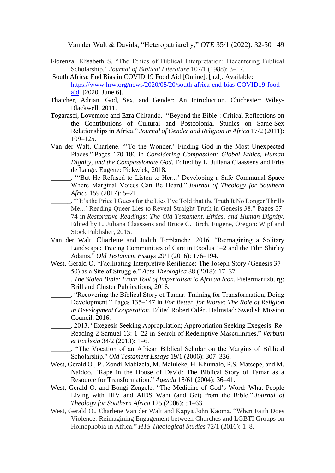- Fiorenza, Elisabeth S. "The Ethics of Biblical Interpretation: Decentering Biblical Scholarship." *Journal of Biblical Literature* 107/1 (1988): 3–17.
- South Africa: End Bias in COVID 19 Food Aid [Online]. [n.d]. Available: [https://www.hrw.org/news/2020/05/20/south-africa-end-bias-COVID19-food](https://www.hrw.org/news/2020/05/20/south-africa-end-bias-covid-19-food-aid)[aid](https://www.hrw.org/news/2020/05/20/south-africa-end-bias-covid-19-food-aid) [2020, June 6].
- Thatcher, Adrian. God, Sex, and Gender: An Introduction. Chichester: Wiley-Blackwell, 2011.
- Togarasei, Lovemore and Ezra Chitando. "'Beyond the Bible': Critical Reflections on the Contributions of Cultural and Postcolonial Studies on Same-Sex Relationships in Africa." *Journal of Gender and Religion in Africa* 17/2 (2011): 109–125.
- Van der Walt, Charlene. "'To the Wonder.' Finding God in the Most Unexpected Places." Pages 170-186 in *Considering Compassion: Global Ethics, Human Dignity, and the Compassionate God*. Edited by L. Juliana Claassens and Frits de Lange. Eugene: Pickwick, 2018.
	- \_\_\_\_\_\_. "'But He Refused to Listen to Her...' Developing a Safe Communal Space Where Marginal Voices Can Be Heard." *Journal of Theology for Southern Africa* 159 (2017): 5–21.
	- \_\_\_\_\_\_. "'It's the Price I Guess for the Lies I've Told that the Truth It No Longer Thrills Me...' Reading Queer Lies to Reveal Straight Truth in Genesis 38." Pages 57- 74 in *Restorative Readings: The Old Testament, Ethics, and Human Dignity*. Edited by L. Juliana Claassens and Bruce C. Birch. Eugene, Oregon: Wipf and Stock Publisher, 2015.
- Van der Walt, Charlene and Judith Terblanche. 2016. "Reimagining a Solitary Landscape: Tracing Communities of Care in Exodus 1–2 and the Film Shirley Adams." *Old Testament Essays* 29/1 (2016): 176–194.
- West, Gerald O. "Facilitating Interpretive Resilience: The Joseph Story (Genesis 37– 50) as a Site of Struggle." *Acta Theologica* 38 (2018): 17–37.

\_\_\_\_\_\_. *The Stolen Bible: From Tool of Imperialism to African Icon*. Pietermaritzburg: Brill and Cluster Publications, 2016.

- \_\_\_\_\_\_. "Recovering the Biblical Story of Tamar: Training for Transformation, Doing Development." Pages 135–147 in *For Better, for Worse: The Role of Religion in Development Cooperation*. Edited Robert Odén. Halmstad: Swedish Mission Council, 2016.
- \_\_\_\_\_\_. 2013. "Exegesis Seeking Appropriation; Appropriation Seeking Exegesis: Re-Reading 2 Samuel 13: 1–22 in Search of Redemptive Masculinities." *Verbum et Ecclesia* 34/2 (2013): 1–6.
	- \_\_\_\_\_\_. "The Vocation of an African Biblical Scholar on the Margins of Biblical Scholarship." *Old Testament Essays* 19/1 (2006): 307–336.
- West, Gerald O., P., Zondi-Mabizela, M. Maluleke, H. Khumalo, P.S. Matsepe, and M. Naidoo. "Rape in the House of David: The Biblical Story of Tamar as a Resource for Transformation." *Agenda* 18/61 (2004): 36–41.
- West, Gerald O. and Bongi Zengele. "The Medicine of God's Word: What People Living with HIV and AIDS Want (and Get) from the Bible." *Journal of Theology for Southern Africa* 125 (2006): 51–63.
- West, Gerald O., Charlene Van der Walt and Kapya John Kaoma. "When Faith Does Violence: Reimagining Engagement between Churches and LGBTI Groups on Homophobia in Africa." *HTS Theological Studies* 72/1 (2016): 1–8.